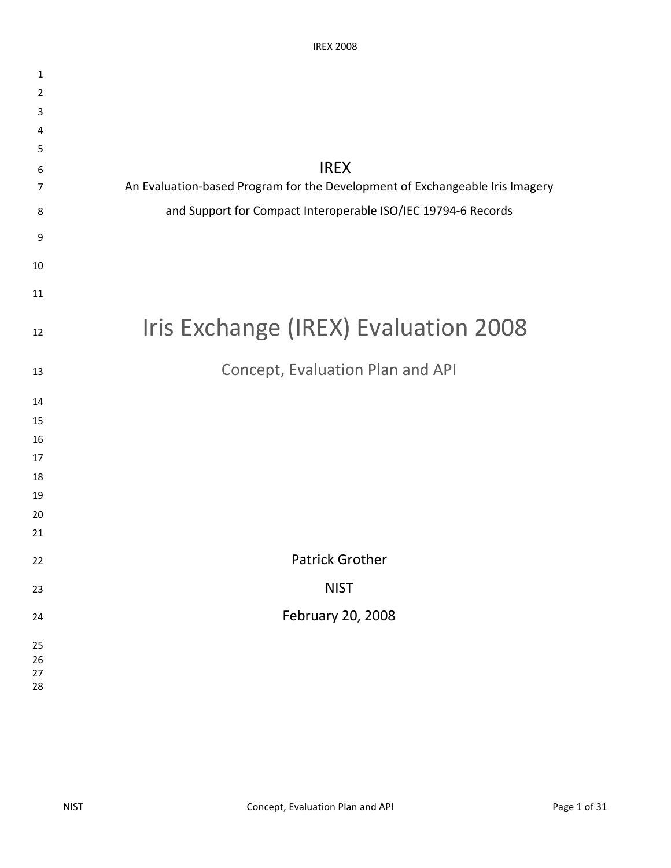| $\mathbf{1}$   |                                                                              |
|----------------|------------------------------------------------------------------------------|
| $\overline{2}$ |                                                                              |
| 3              |                                                                              |
| 4              |                                                                              |
| 5              |                                                                              |
| 6              | <b>IREX</b>                                                                  |
| 7              | An Evaluation-based Program for the Development of Exchangeable Iris Imagery |
| 8              | and Support for Compact Interoperable ISO/IEC 19794-6 Records                |
| 9              |                                                                              |
| 10             |                                                                              |
| 11             |                                                                              |
| 12             | Iris Exchange (IREX) Evaluation 2008                                         |
| 13             | Concept, Evaluation Plan and API                                             |
| 14             |                                                                              |
| 15             |                                                                              |
| 16             |                                                                              |
| 17             |                                                                              |
| 18             |                                                                              |
| 19             |                                                                              |
| 20             |                                                                              |
| 21             |                                                                              |
| 22             | <b>Patrick Grother</b>                                                       |
| 23             | <b>NIST</b>                                                                  |
| 24             | February 20, 2008                                                            |
| 25             |                                                                              |
| 26             |                                                                              |
| 27             |                                                                              |
| 28             |                                                                              |
|                |                                                                              |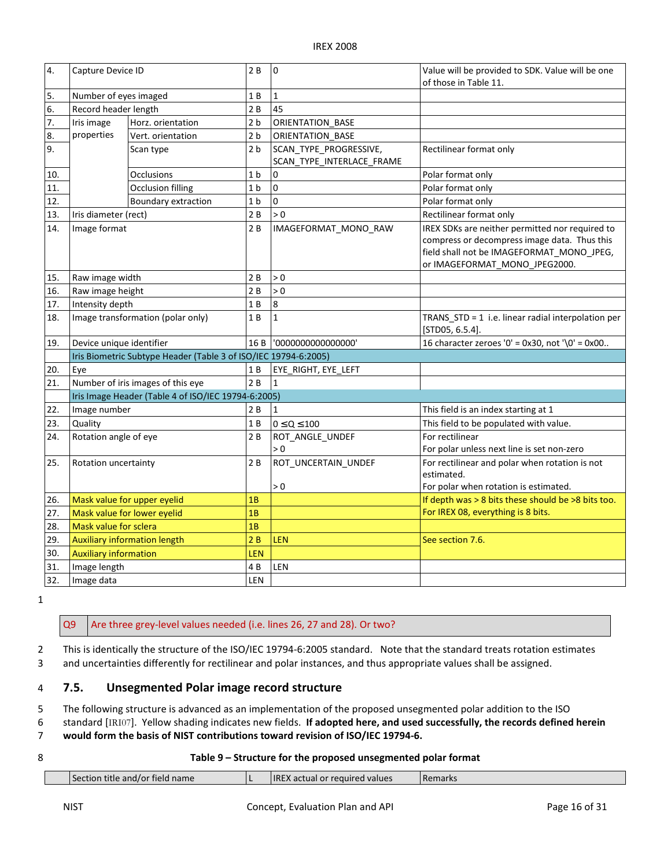| 4.  | Capture Device ID                                   |                                                                 | 2B             | $\mathbf 0$                                         | Value will be provided to SDK. Value will be one<br>of those in Table 11.                                                                                                     |  |
|-----|-----------------------------------------------------|-----------------------------------------------------------------|----------------|-----------------------------------------------------|-------------------------------------------------------------------------------------------------------------------------------------------------------------------------------|--|
| 5.  | Number of eyes imaged                               |                                                                 | 1 B            | $\mathbf{1}$                                        |                                                                                                                                                                               |  |
| 6.  | Record header length                                |                                                                 | 2B             | 45                                                  |                                                                                                                                                                               |  |
| 7.  | Iris image                                          | Horz. orientation                                               | 2 <sub>b</sub> | ORIENTATION BASE                                    |                                                                                                                                                                               |  |
| 8.  | properties                                          | Vert. orientation                                               | 2 <sub>b</sub> | ORIENTATION_BASE                                    |                                                                                                                                                                               |  |
| 9.  |                                                     | Scan type                                                       | 2 <sub>b</sub> | SCAN_TYPE_PROGRESSIVE,<br>SCAN TYPE INTERLACE FRAME | Rectilinear format only                                                                                                                                                       |  |
| 10. |                                                     | <b>Occlusions</b>                                               | 1 <sub>b</sub> | 0                                                   | Polar format only                                                                                                                                                             |  |
| 11. |                                                     | <b>Occlusion filling</b>                                        | 1 <sub>b</sub> | $\mathbf 0$                                         | Polar format only                                                                                                                                                             |  |
| 12. |                                                     | Boundary extraction                                             | 1 <sub>b</sub> | 0                                                   | Polar format only                                                                                                                                                             |  |
| 13. | Iris diameter (rect)                                |                                                                 | 2B             | > 0                                                 | Rectilinear format only                                                                                                                                                       |  |
| 14. | Image format                                        |                                                                 | 2B             | IMAGEFORMAT_MONO_RAW                                | IREX SDKs are neither permitted nor required to<br>compress or decompress image data. Thus this<br>field shall not be IMAGEFORMAT_MONO_JPEG,<br>or IMAGEFORMAT_MONO_JPEG2000. |  |
| 15. | Raw image width                                     |                                                                 | 2B             | > 0                                                 |                                                                                                                                                                               |  |
| 16. | Raw image height                                    |                                                                 | 2B             | > 0                                                 |                                                                                                                                                                               |  |
| 17. | Intensity depth                                     |                                                                 | 1B             | 8                                                   |                                                                                                                                                                               |  |
| 18. | Image transformation (polar only)                   |                                                                 | 1B             | $\mathbf{1}$                                        | TRANS STD = 1 i.e. linear radial interpolation per<br>$[STD05, 6.5.4]$ .                                                                                                      |  |
| 19. | Device unique identifier                            |                                                                 | 16 B           | '0000000000000000'                                  | 16 character zeroes '0' = $0x30$ , not '\0' = $0x00$                                                                                                                          |  |
|     |                                                     | Iris Biometric Subtype Header (Table 3 of ISO/IEC 19794-6:2005) |                |                                                     |                                                                                                                                                                               |  |
| 20. | Eye                                                 |                                                                 | 1 B            | EYE RIGHT, EYE LEFT                                 |                                                                                                                                                                               |  |
| 21. |                                                     | Number of iris images of this eye                               | 2B             | $\mathbf{1}$                                        |                                                                                                                                                                               |  |
|     | Iris Image Header (Table 4 of ISO/IEC 19794-6:2005) |                                                                 |                |                                                     |                                                                                                                                                                               |  |
| 22. | Image number                                        |                                                                 | 2B             | $\mathbf{1}$                                        | This field is an index starting at 1                                                                                                                                          |  |
| 23. | Quality                                             |                                                                 | 1 B            | $0 \le Q \le 100$                                   | This field to be populated with value.                                                                                                                                        |  |
| 24. | Rotation angle of eye                               |                                                                 | 2B             | ROT ANGLE UNDEF<br>> 0                              | For rectilinear<br>For polar unless next line is set non-zero                                                                                                                 |  |
| 25. | Rotation uncertainty                                |                                                                 | 2B             | ROT_UNCERTAIN_UNDEF<br>> 0                          | For rectilinear and polar when rotation is not<br>estimated.<br>For polar when rotation is estimated.                                                                         |  |
| 26. | Mask value for upper eyelid                         |                                                                 | 1B             |                                                     | If depth was > 8 bits these should be >8 bits too.                                                                                                                            |  |
| 27. | Mask value for lower eyelid                         |                                                                 | 1B             |                                                     | For IREX 08, everything is 8 bits.                                                                                                                                            |  |
| 28. | Mask value for sclera                               |                                                                 | 1B             |                                                     |                                                                                                                                                                               |  |
| 29. |                                                     | <b>Auxiliary information length</b>                             | 2B             | LEN                                                 | See section 7.6.                                                                                                                                                              |  |
| 30. | <b>Auxiliary information</b>                        |                                                                 | LEN            |                                                     |                                                                                                                                                                               |  |
| 31. | Image length                                        |                                                                 | 4B             | LEN                                                 |                                                                                                                                                                               |  |
| 32. | Image data                                          |                                                                 | LEN            |                                                     |                                                                                                                                                                               |  |

1

#### Q<sub>9</sub> Are three grey-level values needed (i.e. lines 26, 27 and 28). Or two?

 2 This is identically the structure of the ISO/IEC 19794-6:2005 standard. Note that the standard treats rotation estimates 3 and uncertainties differently for rectilinear and polar instances, and thus appropriate values shall be assigned.

#### 4 7.5. Unsegmented Polar image record structure

5 The following structure is advanced as an implementation of the proposed unsegmented polar addition to the ISO

6 standard [IRI07]. Yellow shading indicates new fields. If adopted here, and used successfully, the records defined herein

7 would form the basis of NIST contributions toward revision of ISO/IEC 19794-6.

#### 8 Table 9 – Structure for the proposed unsegmented polar format

| Section title and/or field name | <b>IREX</b> actual or required values | <b>Remarks</b> |
|---------------------------------|---------------------------------------|----------------|
|                                 |                                       |                |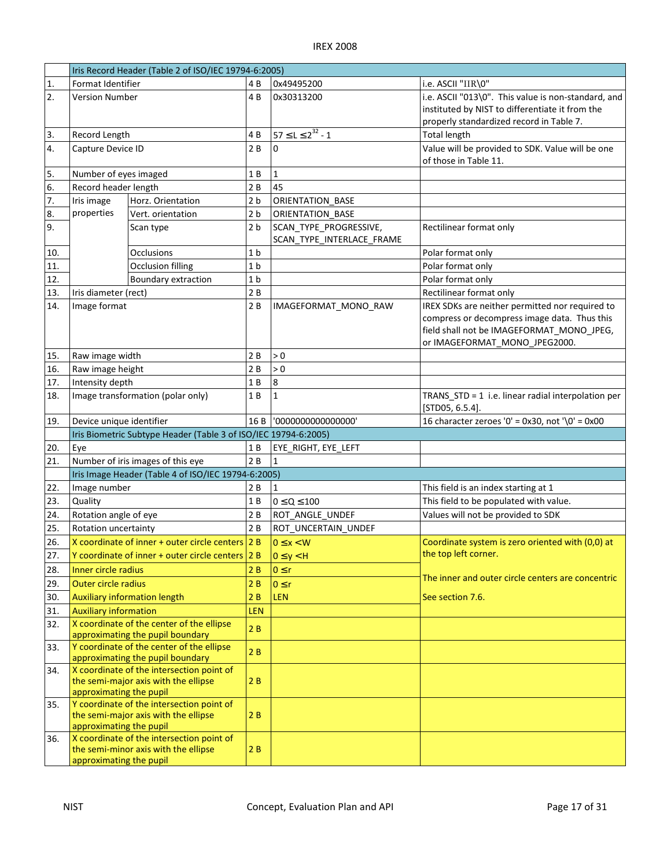|                  | Iris Record Header (Table 2 of ISO/IEC 19794-6:2005) |                                                                               |                |                                                     |                                                                      |  |
|------------------|------------------------------------------------------|-------------------------------------------------------------------------------|----------------|-----------------------------------------------------|----------------------------------------------------------------------|--|
| 1.               | Format Identifier                                    |                                                                               | 4 B            | 0x49495200                                          | i.e. ASCII "IIR\0"                                                   |  |
| 2.               | Version Number                                       |                                                                               | 4 B            | 0x30313200                                          | i.e. ASCII "013\0". This value is non-standard, and                  |  |
|                  |                                                      |                                                                               |                |                                                     | instituted by NIST to differentiate it from the                      |  |
|                  |                                                      |                                                                               |                |                                                     | properly standardized record in Table 7.                             |  |
| 3.               | Record Length                                        |                                                                               | 4B             | $57 \le L \le 2^{32} - 1$                           | <b>Total length</b>                                                  |  |
| 4.               | Capture Device ID                                    |                                                                               | 2B             | 0                                                   | Value will be provided to SDK. Value will be one                     |  |
|                  |                                                      |                                                                               |                |                                                     | of those in Table 11.                                                |  |
| 5.               | Number of eyes imaged                                |                                                                               | 1 B            | $\mathbf{1}$                                        |                                                                      |  |
| 6.               | Record header length                                 |                                                                               | 2B             | 45                                                  |                                                                      |  |
| $\overline{7}$ . | Iris image                                           | Horz. Orientation                                                             | 2 <sub>b</sub> | <b>ORIENTATION BASE</b>                             |                                                                      |  |
| 8.               | properties                                           | Vert. orientation                                                             | 2 <sub>b</sub> | ORIENTATION BASE                                    |                                                                      |  |
| 9.               |                                                      | Scan type                                                                     | 2 <sub>b</sub> | SCAN TYPE PROGRESSIVE,<br>SCAN_TYPE_INTERLACE_FRAME | Rectilinear format only                                              |  |
| 10.              |                                                      | Occlusions                                                                    | 1 <sub>b</sub> |                                                     | Polar format only                                                    |  |
| 11.              |                                                      | <b>Occlusion filling</b>                                                      | 1 <sub>b</sub> |                                                     | Polar format only                                                    |  |
| 12.              |                                                      | Boundary extraction                                                           | 1 <sub>b</sub> |                                                     | Polar format only                                                    |  |
| 13.              | Iris diameter (rect)                                 |                                                                               | 2B             |                                                     | Rectilinear format only                                              |  |
| 14.              | Image format                                         |                                                                               | 2B             | IMAGEFORMAT_MONO_RAW                                | IREX SDKs are neither permitted nor required to                      |  |
|                  |                                                      |                                                                               |                |                                                     | compress or decompress image data. Thus this                         |  |
|                  |                                                      |                                                                               |                |                                                     | field shall not be IMAGEFORMAT_MONO_JPEG,                            |  |
|                  |                                                      |                                                                               |                |                                                     | or IMAGEFORMAT MONO JPEG2000.                                        |  |
| 15.              | Raw image width                                      |                                                                               | 2 B            | > 0                                                 |                                                                      |  |
| 16.              | Raw image height                                     |                                                                               | 2B             | > 0                                                 |                                                                      |  |
| 17.              | Intensity depth                                      |                                                                               | 1B             | 8                                                   |                                                                      |  |
| 18.              | Image transformation (polar only)                    |                                                                               | 1 B            | $\mathbf{1}$                                        | TRANS_STD = 1 i.e. linear radial interpolation per<br>[STD05, 6.5.4] |  |
| 19.              | Device unique identifier                             |                                                                               |                |                                                     | 16 character zeroes '0' = $0x30$ , not '\0' = $0x00$                 |  |
|                  |                                                      | Iris Biometric Subtype Header (Table 3 of ISO/IEC 19794-6:2005)               |                |                                                     |                                                                      |  |
|                  |                                                      |                                                                               |                |                                                     |                                                                      |  |
| 20.              | Eye                                                  |                                                                               | 1 B            | EYE RIGHT, EYE LEFT                                 |                                                                      |  |
| 21.              |                                                      | Number of iris images of this eye                                             | 2B             | 1                                                   |                                                                      |  |
|                  |                                                      | Iris Image Header (Table 4 of ISO/IEC 19794-6:2005)                           |                |                                                     |                                                                      |  |
| 22.              | Image number                                         |                                                                               | 2 B            | 1                                                   | This field is an index starting at 1                                 |  |
| 23.              | Quality                                              |                                                                               | 1 B            | $0 \le Q \le 100$                                   | This field to be populated with value.                               |  |
| 24.              | Rotation angle of eye                                |                                                                               | 2B             | ROT ANGLE UNDEF                                     | Values will not be provided to SDK                                   |  |
| 25.              | Rotation uncertainty                                 |                                                                               | 2B             | ROT_UNCERTAIN_UNDEF                                 |                                                                      |  |
| 26.              |                                                      | X coordinate of inner + outer circle centers $2B$                             |                | $0 \leq x < W$                                      | Coordinate system is zero oriented with (0,0) at                     |  |
| 27.              |                                                      | Y coordinate of inner + outer circle centers 2 B                              |                |                                                     | the top left corner.                                                 |  |
| 28.              | Inner circle radius                                  |                                                                               | 2B             | $0 \le y < H$                                       |                                                                      |  |
|                  |                                                      |                                                                               |                | $0 \leq r$                                          | The inner and outer circle centers are concentric                    |  |
| 29.              | Outer circle radius                                  |                                                                               | 2B             | $0 \le r$                                           |                                                                      |  |
| 30.              |                                                      | <b>Auxiliary information length</b>                                           | 2B             | <b>LEN</b>                                          | See section 7.6.                                                     |  |
| 31.              | <b>Auxiliary information</b>                         |                                                                               | LEN            |                                                     |                                                                      |  |
| 32.              |                                                      | X coordinate of the center of the ellipse<br>approximating the pupil boundary | 2B             |                                                     |                                                                      |  |
| 33.              |                                                      | Y coordinate of the center of the ellipse                                     |                |                                                     |                                                                      |  |
|                  |                                                      | approximating the pupil boundary                                              | 2B             |                                                     |                                                                      |  |
| 34.              |                                                      | X coordinate of the intersection point of                                     |                |                                                     |                                                                      |  |
|                  |                                                      | the semi-major axis with the ellipse                                          | 2B             |                                                     |                                                                      |  |
|                  | approximating the pupil                              |                                                                               |                |                                                     |                                                                      |  |
| 35.              |                                                      | Y coordinate of the intersection point of                                     |                |                                                     |                                                                      |  |
|                  |                                                      | the semi-major axis with the ellipse                                          | 2B             |                                                     |                                                                      |  |
| 36.              | approximating the pupil                              | X coordinate of the intersection point of                                     |                |                                                     |                                                                      |  |
|                  | approximating the pupil                              | the semi-minor axis with the ellipse                                          | 2B             |                                                     |                                                                      |  |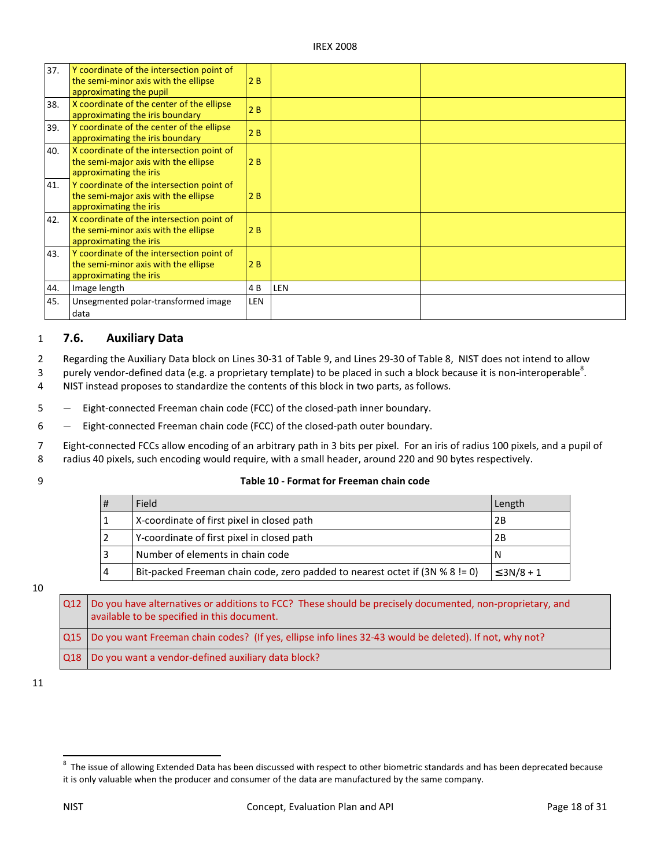| 37. | Y coordinate of the intersection point of<br>the semi-minor axis with the ellipse<br>approximating the pupil | 2B  |     |  |
|-----|--------------------------------------------------------------------------------------------------------------|-----|-----|--|
| 38. | X coordinate of the center of the ellipse<br>approximating the iris boundary                                 | 2B  |     |  |
| 39. | Y coordinate of the center of the ellipse<br>approximating the iris boundary                                 | 2B  |     |  |
| 40. | X coordinate of the intersection point of<br>the semi-major axis with the ellipse<br>approximating the iris  | 2B  |     |  |
| 41. | Y coordinate of the intersection point of<br>the semi-major axis with the ellipse<br>approximating the iris  | 2B  |     |  |
| 42. | X coordinate of the intersection point of<br>the semi-minor axis with the ellipse<br>approximating the iris  | 2B  |     |  |
| 43. | Y coordinate of the intersection point of<br>the semi-minor axis with the ellipse<br>approximating the iris  | 2B  |     |  |
| 44. | Image length                                                                                                 | 4 B | LEN |  |
| 45. | Unsegmented polar-transformed image<br>data                                                                  | LEN |     |  |

#### 1 7.6. Auxiliary Data

2 Regarding the Auxiliary Data block on Lines 30-31 of Table 9, and Lines 29-30 of Table 8, NIST does not intend to allow

3 purely vendor-defined data (e.g. a proprietary template) to be placed in such a block because it is non-interoperable<sup>8</sup>.

4 NIST instead proposes to standardize the contents of this block in two parts, as follows.

5 ― Eight-connected Freeman chain code (FCC) of the closed-path inner boundary.

6 ― Eight-connected Freeman chain code (FCC) of the closed-path outer boundary.

 7 Eight-connected FCCs allow encoding of an arbitrary path in 3 bits per pixel. For an iris of radius 100 pixels, and a pupil of 8 radius 40 pixels, such encoding would require, with a small header, around 220 and 90 bytes respectively.

#### 9 Table 10 - Format for Freeman chain code

| Field                                                                        | Length          |
|------------------------------------------------------------------------------|-----------------|
| X-coordinate of first pixel in closed path                                   | 2Β              |
| Y-coordinate of first pixel in closed path                                   | 2Β              |
| l Number of elements in chain code                                           |                 |
| Bit-packed Freeman chain code, zero padded to nearest octet if (3N % 8 != 0) | $\leq$ 3N/8 + 1 |

#### 10

 $Q12$  available to be specified in this document. O<sub>15</sub> 018 Do you have alternatives or additions to FCC? These should be precisely documented, non-proprietary, and Do you want Freeman chain codes? (If yes, ellipse info lines 32-43 would be deleted). If not, why not? Do you want a vendor-defined auxiliary data block?

11

 $\overline{a}$ 

 $^8$  The issue of allowing Extended Data has been discussed with respect to other biometric standards and has been deprecated because it is only valuable when the producer and consumer of the data are manufactured by the same company.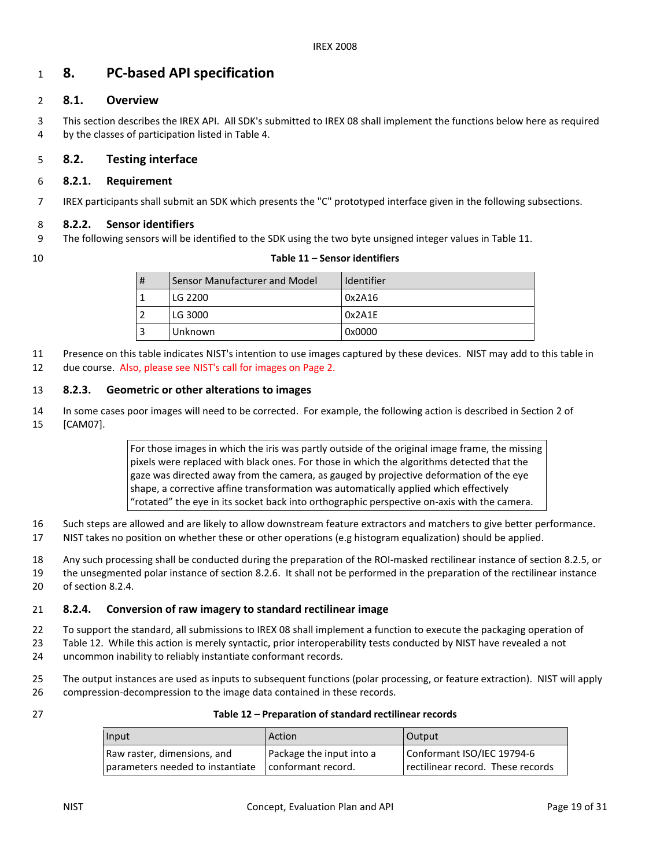## $1$  8. PC-based API specification

#### 2 8.1. Overview

 3 This section describes the IREX API. All SDK's submitted to IREX 08 shall implement the functions below here as required 4 by the classes of participation listed in Table 4.

#### 5 8.2. Testing interface

#### 6 8.2.1. Requirement

7 IREX participants shall submit an SDK which presents the "C" prototyped interface given in the following subsections.

#### 8 8.2.2. Sensor identifiers

- 9 The following sensors will be identified to the SDK using the two byte unsigned integer values in Table 11.
- 

#### 10 Table 11 – Sensor identifiers

| # | Sensor Manufacturer and Model | Identifier |
|---|-------------------------------|------------|
|   | LG 2200                       | 0x2A16     |
|   | LG 3000                       | 0x2A1E     |
| 3 | Unknown                       | 0x0000     |

 11 Presence on this table indicates NIST's intention to use images captured by these devices. NIST may add to this table in 12 due course. Also, please see NIST's call for images on Page 2.

## 13 8.2.3. Geometric or other alterations to images

 14 In some cases poor images will need to be corrected. For example, the following action is described in Section 2 of 15 [CAM07].

> For those images in which the iris was partly outside of the original image frame, the missing pixels were replaced with black ones. For those in which the algorithms detected that the gaze was directed away from the camera, as gauged by projective deformation of the eye shape, a corrective affine transformation was automatically applied which effectively "rotated" the eye in its socket back into orthographic perspective on-axis with the camera.

- 16 Such steps are allowed and are likely to allow downstream feature extractors and matchers to give better performance.
- 17 NIST takes no position on whether these or other operations (e.g histogram equalization) should be applied.

18 Any such processing shall be conducted during the preparation of the ROI-masked rectilinear instance of section 8.2.5, or

 19 the unsegmented polar instance of section 8.2.6. It shall not be performed in the preparation of the rectilinear instance 20 of section 8.2.4.

#### 21 8.2.4. Conversion of raw imagery to standard rectilinear image

- 22 To support the standard, all submissions to IREX 08 shall implement a function to execute the packaging operation of
- 23 Table 12. While this action is merely syntactic, prior interoperability tests conducted by NIST have revealed a not
- 24 uncommon inability to reliably instantiate conformant records.
- 25 The output instances are used as inputs to subsequent functions (polar processing, or feature extraction). NIST will apply 26 compression-decompression to the image data contained in these records.
- 

#### 27 Table 12 – Preparation of standard rectilinear records

| Input                            | Action                   | Output                            |
|----------------------------------|--------------------------|-----------------------------------|
| Raw raster, dimensions, and      | Package the input into a | Conformant ISO/IEC 19794-6        |
| parameters needed to instantiate | conformant record.       | rectilinear record. These records |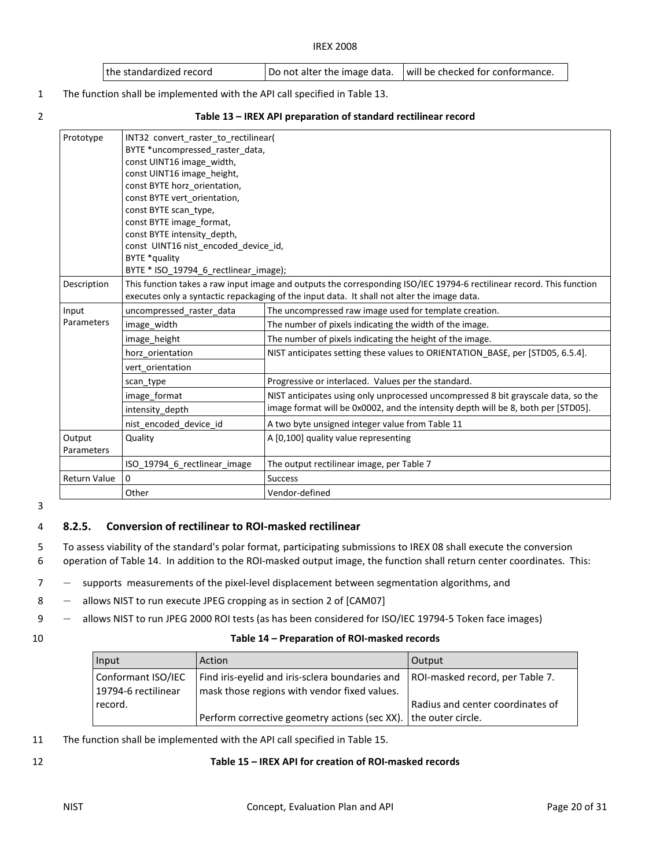| I the standardized record | Do not alter the image data. | I will be checked for conformance. |
|---------------------------|------------------------------|------------------------------------|
|---------------------------|------------------------------|------------------------------------|

1 The function shall be implemented with the API call specified in Table 13.

|  | ٠<br>전 사 |   |  |
|--|----------|---|--|
|  |          | I |  |

#### 2 Table 13 – IREX API preparation of standard rectilinear record

| Prototype            | INT32 convert raster to rectilinear(<br>BYTE *uncompressed raster data,<br>const UINT16 image width,<br>const UINT16 image height,<br>const BYTE horz orientation,<br>const BYTE vert orientation,<br>const BYTE scan type,<br>const BYTE image format,<br>const BYTE intensity depth,<br>const UINT16 nist encoded device id,<br>BYTE *quality<br>BYTE * ISO_19794_6_rectlinear_image); |                                                                                                                                                                                                                      |  |
|----------------------|------------------------------------------------------------------------------------------------------------------------------------------------------------------------------------------------------------------------------------------------------------------------------------------------------------------------------------------------------------------------------------------|----------------------------------------------------------------------------------------------------------------------------------------------------------------------------------------------------------------------|--|
| Description          |                                                                                                                                                                                                                                                                                                                                                                                          | This function takes a raw input image and outputs the corresponding ISO/IEC 19794-6 rectilinear record. This function<br>executes only a syntactic repackaging of the input data. It shall not alter the image data. |  |
| Input                | uncompressed raster data                                                                                                                                                                                                                                                                                                                                                                 | The uncompressed raw image used for template creation.                                                                                                                                                               |  |
| Parameters           | image width                                                                                                                                                                                                                                                                                                                                                                              | The number of pixels indicating the width of the image.                                                                                                                                                              |  |
|                      | image height                                                                                                                                                                                                                                                                                                                                                                             | The number of pixels indicating the height of the image.                                                                                                                                                             |  |
|                      | horz orientation                                                                                                                                                                                                                                                                                                                                                                         | NIST anticipates setting these values to ORIENTATION_BASE, per [STD05, 6.5.4].                                                                                                                                       |  |
|                      | vert orientation                                                                                                                                                                                                                                                                                                                                                                         |                                                                                                                                                                                                                      |  |
|                      | scan type                                                                                                                                                                                                                                                                                                                                                                                | Progressive or interlaced. Values per the standard.                                                                                                                                                                  |  |
|                      | image format                                                                                                                                                                                                                                                                                                                                                                             | NIST anticipates using only unprocessed uncompressed 8 bit grayscale data, so the                                                                                                                                    |  |
|                      | intensity_depth                                                                                                                                                                                                                                                                                                                                                                          | image format will be 0x0002, and the intensity depth will be 8, both per [STD05].                                                                                                                                    |  |
|                      | nist encoded_device_id                                                                                                                                                                                                                                                                                                                                                                   | A two byte unsigned integer value from Table 11                                                                                                                                                                      |  |
| Output<br>Parameters | A [0,100] quality value representing<br>Quality                                                                                                                                                                                                                                                                                                                                          |                                                                                                                                                                                                                      |  |
|                      | ISO 19794 6 rectlinear image                                                                                                                                                                                                                                                                                                                                                             | The output rectilinear image, per Table 7                                                                                                                                                                            |  |
| <b>Return Value</b>  | $\Omega$                                                                                                                                                                                                                                                                                                                                                                                 | <b>Success</b>                                                                                                                                                                                                       |  |
|                      | Other                                                                                                                                                                                                                                                                                                                                                                                    | Vendor-defined                                                                                                                                                                                                       |  |

3

#### 4 8.2.5. Conversion of rectilinear to ROI-masked rectilinear

 5 To assess viability of the standard's polar format, participating submissions to IREX 08 shall execute the conversion 6 operation of Table 14. In addition to the ROI-masked output image, the function shall return center coordinates. This:

7 ― supports measurements of the pixel-level displacement between segmentation algorithms, and

- 8 allows NIST to run execute JPEG cropping as in section 2 of [CAM07]
- 9 ― allows NIST to run JPEG 2000 ROI tests (as has been considered for ISO/IEC 19794-5 Token face images)
- 

#### 10 Table 14 – Preparation of ROI-masked records

| Input                                     | Action                                                                                          | <b>Output</b>                    |
|-------------------------------------------|-------------------------------------------------------------------------------------------------|----------------------------------|
| Conformant ISO/IEC<br>19794-6 rectilinear | Find iris-eyelid and iris-sclera boundaries and<br>mask those regions with vendor fixed values. | ROI-masked record, per Table 7.  |
| record.                                   | Perform corrective geometry actions (sec XX). the outer circle.                                 | Radius and center coordinates of |

11 The function shall be implemented with the API call specified in Table 15.

#### 12 Table 15 – IREX API for creation of ROI-masked records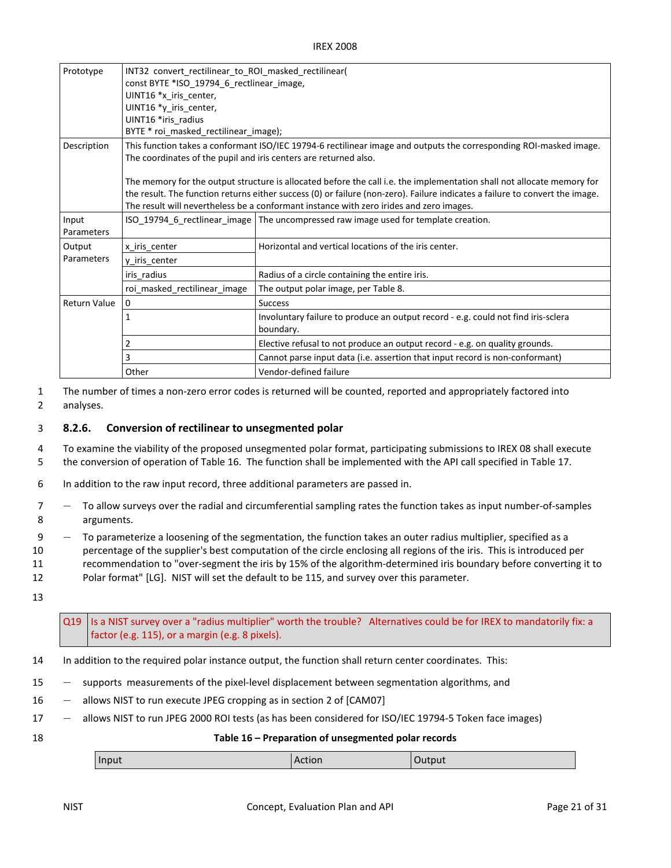| Prototype           | INT32 convert_rectilinear_to_ROI_masked_rectilinear(<br>const BYTE *ISO_19794_6_rectlinear_image,<br>UINT16 *x iris center,<br>UINT16 *y_iris_center,<br>UINT16 *iris radius           |                                                                                                                                                                                                                                                                                                                                                   |
|---------------------|----------------------------------------------------------------------------------------------------------------------------------------------------------------------------------------|---------------------------------------------------------------------------------------------------------------------------------------------------------------------------------------------------------------------------------------------------------------------------------------------------------------------------------------------------|
|                     | BYTE * roi_masked_rectilinear_image);                                                                                                                                                  |                                                                                                                                                                                                                                                                                                                                                   |
| Description         | This function takes a conformant ISO/IEC 19794-6 rectilinear image and outputs the corresponding ROI-masked image.<br>The coordinates of the pupil and iris centers are returned also. |                                                                                                                                                                                                                                                                                                                                                   |
|                     |                                                                                                                                                                                        | The memory for the output structure is allocated before the call i.e. the implementation shall not allocate memory for<br>the result. The function returns either success (0) or failure (non-zero). Failure indicates a failure to convert the image.<br>The result will nevertheless be a conformant instance with zero irides and zero images. |
| Input<br>Parameters |                                                                                                                                                                                        | ISO_19794_6_rectlinear_image   The uncompressed raw image used for template creation.                                                                                                                                                                                                                                                             |
| Output              | x_iris_center                                                                                                                                                                          | Horizontal and vertical locations of the iris center.                                                                                                                                                                                                                                                                                             |
| Parameters          | y iris center                                                                                                                                                                          |                                                                                                                                                                                                                                                                                                                                                   |
|                     | iris radius                                                                                                                                                                            | Radius of a circle containing the entire iris.                                                                                                                                                                                                                                                                                                    |
|                     | roi masked rectilinear image                                                                                                                                                           | The output polar image, per Table 8.                                                                                                                                                                                                                                                                                                              |
| <b>Return Value</b> | 0                                                                                                                                                                                      | <b>Success</b>                                                                                                                                                                                                                                                                                                                                    |
|                     |                                                                                                                                                                                        | Involuntary failure to produce an output record - e.g. could not find iris-sclera<br>boundary.                                                                                                                                                                                                                                                    |
|                     |                                                                                                                                                                                        | Elective refusal to not produce an output record - e.g. on quality grounds.                                                                                                                                                                                                                                                                       |
|                     | 3                                                                                                                                                                                      | Cannot parse input data (i.e. assertion that input record is non-conformant)                                                                                                                                                                                                                                                                      |
|                     | Other                                                                                                                                                                                  | Vendor-defined failure                                                                                                                                                                                                                                                                                                                            |

 1 The number of times a non-zero error codes is returned will be counted, reported and appropriately factored into 2 analyses.

#### 3 8.2.6. Conversion of rectilinear to unsegmented polar

 4 To examine the viability of the proposed unsegmented polar format, participating submissions to IREX 08 shall execute 5 the conversion of operation of Table 16. The function shall be implemented with the API call specified in Table 17.

- 6 In addition to the raw input record, three additional parameters are passed in.
- 7 ― To allow surveys over the radial and circumferential sampling rates the function takes as input number-of-samples 8 arguments.
- 9 ― To parameterize a loosening of the segmentation, the function takes an outer radius multiplier, specified as a
- 10 percentage of the supplier's best computation of the circle enclosing all regions of the iris. This is introduced per
- 11 recommendation to "over-segment the iris by 15% of the algorithm-determined iris boundary before converting it to
- 12 Polar format" [LG]. NIST will set the default to be 115, and survey over this parameter.

13

- Q19 factor (e.g. 115), or a margin (e.g. 8 pixels). Is a NIST survey over a "radius multiplier" worth the trouble? Alternatives could be for IREX to mandatorily fix: a
- 14 In addition to the required polar instance output, the function shall return center coordinates. This:
- 15 ― supports measurements of the pixel-level displacement between segmentation algorithms, and
- 16 allows NIST to run execute JPEG cropping as in section 2 of [CAM07]
- 17 ― allows NIST to run JPEG 2000 ROI tests (as has been considered for ISO/IEC 19794-5 Token face images)
- 

#### 18 Table 16 – Preparation of unsegmented polar records

| Input | י ש |
|-------|-----|
|       |     |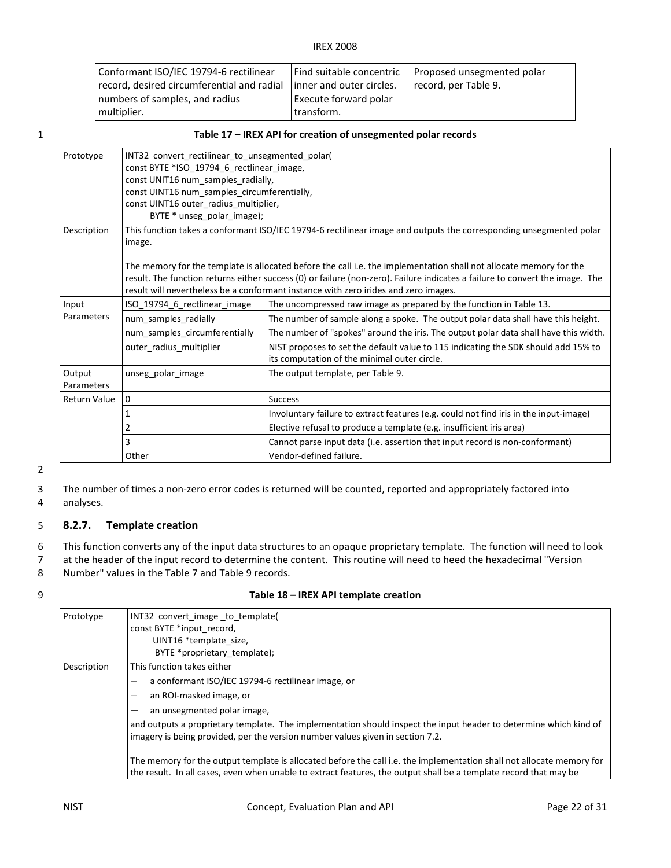| Conformant ISO/IEC 19794-6 rectilinear     |                           | Find suitable concentric   Proposed unsegmented polar |
|--------------------------------------------|---------------------------|-------------------------------------------------------|
| record, desired circumferential and radial | linner and outer circles. | record, per Table 9.                                  |
| numbers of samples, and radius             | Execute forward polar     |                                                       |
| multiplier.                                | transform.                |                                                       |

#### 1 Table 17 – IREX API for creation of unsegmented polar records

| Prototype            | INT32 convert rectilinear to unsegmented polar(<br>const BYTE *ISO_19794_6_rectlinear_image,<br>const UNIT16 num_samples_radially,<br>const UINT16 num samples circumferentially,<br>const UINT16 outer_radius_multiplier,<br>BYTE * unseg polar image);                                                                                                                                                                                                                  |                                                                                                                                    |
|----------------------|---------------------------------------------------------------------------------------------------------------------------------------------------------------------------------------------------------------------------------------------------------------------------------------------------------------------------------------------------------------------------------------------------------------------------------------------------------------------------|------------------------------------------------------------------------------------------------------------------------------------|
| Description          | This function takes a conformant ISO/IEC 19794-6 rectilinear image and outputs the corresponding unsegmented polar<br>image.<br>The memory for the template is allocated before the call i.e. the implementation shall not allocate memory for the<br>result. The function returns either success (0) or failure (non-zero). Failure indicates a failure to convert the image. The<br>result will nevertheless be a conformant instance with zero irides and zero images. |                                                                                                                                    |
| Input                | ISO_19794_6_rectlinear_image                                                                                                                                                                                                                                                                                                                                                                                                                                              | The uncompressed raw image as prepared by the function in Table 13.                                                                |
| Parameters           | num samples radially                                                                                                                                                                                                                                                                                                                                                                                                                                                      | The number of sample along a spoke. The output polar data shall have this height.                                                  |
|                      | num samples circumferentially                                                                                                                                                                                                                                                                                                                                                                                                                                             | The number of "spokes" around the iris. The output polar data shall have this width.                                               |
|                      | outer radius multiplier                                                                                                                                                                                                                                                                                                                                                                                                                                                   | NIST proposes to set the default value to 115 indicating the SDK should add 15% to<br>its computation of the minimal outer circle. |
| Output<br>Parameters | unseg polar image                                                                                                                                                                                                                                                                                                                                                                                                                                                         | The output template, per Table 9.                                                                                                  |
| <b>Return Value</b>  | $\mathbf 0$                                                                                                                                                                                                                                                                                                                                                                                                                                                               | <b>Success</b>                                                                                                                     |
|                      |                                                                                                                                                                                                                                                                                                                                                                                                                                                                           | Involuntary failure to extract features (e.g. could not find iris in the input-image)                                              |
|                      | 2                                                                                                                                                                                                                                                                                                                                                                                                                                                                         | Elective refusal to produce a template (e.g. insufficient iris area)                                                               |
|                      | 3                                                                                                                                                                                                                                                                                                                                                                                                                                                                         | Cannot parse input data (i.e. assertion that input record is non-conformant)                                                       |
|                      | Other                                                                                                                                                                                                                                                                                                                                                                                                                                                                     | Vendor-defined failure.                                                                                                            |

2

 3 The number of times a non-zero error codes is returned will be counted, reported and appropriately factored into 4 analyses.

#### 5 8.2.7. Template creation

 6 This function converts any of the input data structures to an opaque proprietary template. The function will need to look 7 at the header of the input record to determine the content. This routine will need to heed the hexadecimal "Version 8 Number" values in the Table 7 and Table 9 records.

|  | Table 18 - IREX API template creation |
|--|---------------------------------------|
|--|---------------------------------------|

| Prototype   | INT32 convert image to template(                                                                                                                                                                                                           |  |  |
|-------------|--------------------------------------------------------------------------------------------------------------------------------------------------------------------------------------------------------------------------------------------|--|--|
|             | const BYTE *input record,                                                                                                                                                                                                                  |  |  |
|             | UINT16 *template size,                                                                                                                                                                                                                     |  |  |
|             | BYTE *proprietary template);                                                                                                                                                                                                               |  |  |
| Description | This function takes either                                                                                                                                                                                                                 |  |  |
|             | a conformant ISO/IEC 19794-6 rectilinear image, or<br>-                                                                                                                                                                                    |  |  |
|             | an ROI-masked image, or<br>-                                                                                                                                                                                                               |  |  |
|             | an unsegmented polar image,                                                                                                                                                                                                                |  |  |
|             | and outputs a proprietary template. The implementation should inspect the input header to determine which kind of<br>imagery is being provided, per the version number values given in section 7.2.                                        |  |  |
|             | The memory for the output template is allocated before the call i.e. the implementation shall not allocate memory for<br>the result. In all cases, even when unable to extract features, the output shall be a template record that may be |  |  |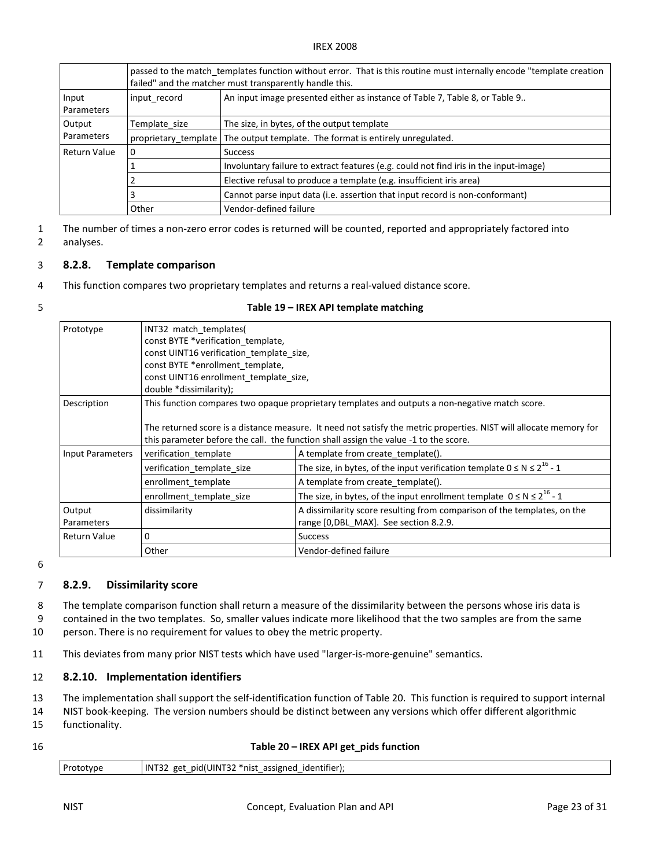|                      | passed to the match templates function without error. That is this routine must internally encode "template creation"<br>failed" and the matcher must transparently handle this. |                                                                                       |  |
|----------------------|----------------------------------------------------------------------------------------------------------------------------------------------------------------------------------|---------------------------------------------------------------------------------------|--|
| Input<br>Parameters  | input record                                                                                                                                                                     | An input image presented either as instance of Table 7, Table 8, or Table 9           |  |
| Output<br>Parameters | Template size                                                                                                                                                                    | The size, in bytes, of the output template                                            |  |
|                      | proprietary template                                                                                                                                                             | The output template. The format is entirely unregulated.                              |  |
| Return Value         |                                                                                                                                                                                  | <b>Success</b>                                                                        |  |
|                      |                                                                                                                                                                                  | Involuntary failure to extract features (e.g. could not find iris in the input-image) |  |
|                      |                                                                                                                                                                                  | Elective refusal to produce a template (e.g. insufficient iris area)                  |  |
|                      | 3                                                                                                                                                                                | Cannot parse input data (i.e. assertion that input record is non-conformant)          |  |
|                      | Other                                                                                                                                                                            | Vendor-defined failure                                                                |  |

 1 The number of times a non-zero error codes is returned will be counted, reported and appropriately factored into analyses.

# 2 analyses.<br>3 **8.2.8. Template comparison**

4 This function compares two proprietary templates and returns a real-valued distance score.

|  | Table 19 - IREX API template matching |
|--|---------------------------------------|
|--|---------------------------------------|

| Prototype               | INT32 match templates(                                                                                                                                                                  |                                                                                 |  |                                                                                                 |                                                                                                                                                                                                            |
|-------------------------|-----------------------------------------------------------------------------------------------------------------------------------------------------------------------------------------|---------------------------------------------------------------------------------|--|-------------------------------------------------------------------------------------------------|------------------------------------------------------------------------------------------------------------------------------------------------------------------------------------------------------------|
|                         | const BYTE *verification template,<br>const UINT16 verification_template_size,<br>const BYTE *enrollment template,<br>const UINT16 enrollment template size,<br>double *dissimilarity); |                                                                                 |  |                                                                                                 |                                                                                                                                                                                                            |
|                         |                                                                                                                                                                                         |                                                                                 |  |                                                                                                 |                                                                                                                                                                                                            |
|                         |                                                                                                                                                                                         |                                                                                 |  |                                                                                                 |                                                                                                                                                                                                            |
| Description             |                                                                                                                                                                                         |                                                                                 |  | This function compares two opaque proprietary templates and outputs a non-negative match score. |                                                                                                                                                                                                            |
|                         |                                                                                                                                                                                         |                                                                                 |  |                                                                                                 | The returned score is a distance measure. It need not satisfy the metric properties. NIST will allocate memory for<br>this parameter before the call. the function shall assign the value -1 to the score. |
| <b>Input Parameters</b> | verification_template                                                                                                                                                                   | A template from create_template().                                              |  |                                                                                                 |                                                                                                                                                                                                            |
|                         | verification template size                                                                                                                                                              | The size, in bytes, of the input verification template $0 \le N \le 2^{16} - 1$ |  |                                                                                                 |                                                                                                                                                                                                            |
|                         | enrollment_template                                                                                                                                                                     | A template from create_template().                                              |  |                                                                                                 |                                                                                                                                                                                                            |
|                         | enrollment template size                                                                                                                                                                | The size, in bytes, of the input enrollment template $0 \le N \le 2^{16} - 1$   |  |                                                                                                 |                                                                                                                                                                                                            |
| Output                  | dissimilarity                                                                                                                                                                           | A dissimilarity score resulting from comparison of the templates, on the        |  |                                                                                                 |                                                                                                                                                                                                            |
| Parameters              |                                                                                                                                                                                         | range [0, DBL MAX]. See section 8.2.9.                                          |  |                                                                                                 |                                                                                                                                                                                                            |
| <b>Return Value</b>     | 0                                                                                                                                                                                       | <b>Success</b>                                                                  |  |                                                                                                 |                                                                                                                                                                                                            |
|                         | Other                                                                                                                                                                                   | Vendor-defined failure                                                          |  |                                                                                                 |                                                                                                                                                                                                            |

6

#### 7 8.2.9. Dissimilarity score

 8 The template comparison function shall return a measure of the dissimilarity between the persons whose iris data is 9 contained in the two templates. So, smaller values indicate more likelihood that the two samples are from the same 10 person. There is no requirement for values to obey the metric property.

11 This deviates from many prior NIST tests which have used "larger-is-more-genuine" semantics.

#### 12 8.2.10. Implementation identifiers

13 The implementation shall support the self-identification function of Table 20. This function is required to support internal

- 14 NIST book-keeping. The version numbers should be distinct between any versions which offer different algorithmic 15 functionality.
- 

| Table 20 - IREX API get_pids function |
|---------------------------------------|
|                                       |

| .<br>Prototype<br>$1^{\text{INT}2}$<br>UINT32'<br>. .<br>assigned<br>pid(<br>get<br>identifier) <sup>.</sup><br>*nısı<br>34<br>$\overline{\phantom{0}}$ |
|---------------------------------------------------------------------------------------------------------------------------------------------------------|
|---------------------------------------------------------------------------------------------------------------------------------------------------------|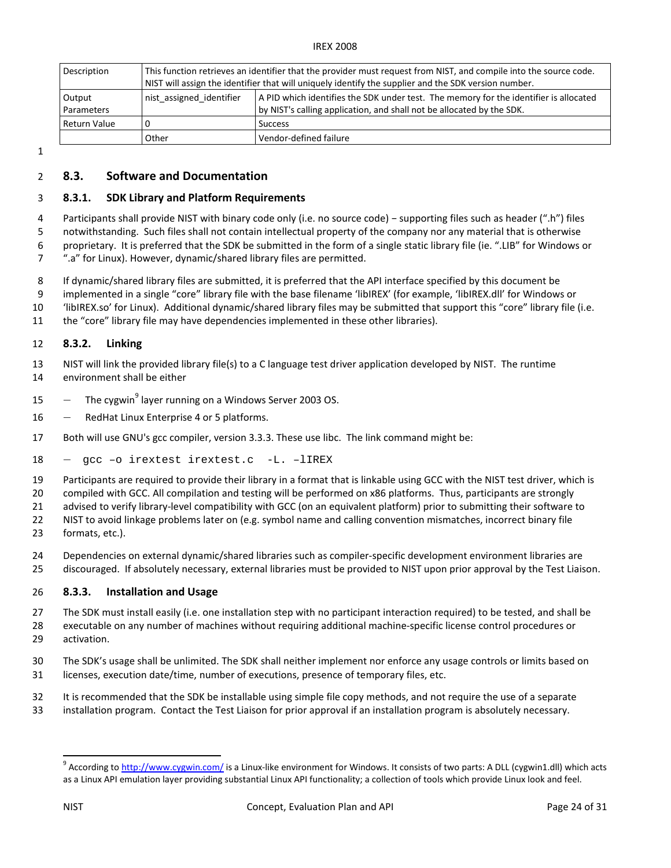| Description                 | This function retrieves an identifier that the provider must request from NIST, and compile into the source code.<br>NIST will assign the identifier that will uniquely identify the supplier and the SDK version number. |                                                                                                                                                                |
|-----------------------------|---------------------------------------------------------------------------------------------------------------------------------------------------------------------------------------------------------------------------|----------------------------------------------------------------------------------------------------------------------------------------------------------------|
| Output<br><b>Parameters</b> | nist assigned identifier                                                                                                                                                                                                  | A PID which identifies the SDK under test. The memory for the identifier is allocated<br>by NIST's calling application, and shall not be allocated by the SDK. |
| Return Value                | 0                                                                                                                                                                                                                         | <b>Success</b>                                                                                                                                                 |
|                             | Other                                                                                                                                                                                                                     | Vendor-defined failure                                                                                                                                         |

1

### 2 8.3. Software and Documentation

#### 3 8.3.1. SDK Library and Platform Requirements

 4 Participants shall provide NIST with binary code only (i.e. no source code) − supporting files such as header (".h") files 5 notwithstanding. Such files shall not contain intellectual property of the company nor any material that is otherwise 6 proprietary. It is preferred that the SDK be submitted in the form of a single static library file (ie. ".LIB" for Windows or

7 ".a" for Linux). However, dynamic/shared library files are permitted.

8 If dynamic/shared library files are submitted, it is preferred that the API interface specified by this document be

 9 implemented in a single "core" library file with the base filename 'libIREX' (for example, 'libIREX.dll' for Windows or 10 ['libIREX.so'](https://libIREX.so) for Linux). Additional dynamic/shared library files may be submitted that support this "core" library file (i.e.

11 the "core" library file may have dependencies implemented in these other libraries).

#### 12 8.3.2. Linking

 13 NIST will link the provided library file(s) to a C language test driver application developed by NIST. The runtime 14 environment shall be either

- 15  $-$  The cygwin<sup>9</sup> layer running on a Windows Server 2003 OS.
- 16 RedHat Linux Enterprise 4 or 5 platforms.
- 17 Both will use GNU's gcc compiler, version 3.3.3. These use libc. The link command might be:
- 18 ― gcc –o irextest irextest.c -L. –lIREX

19 Participants are required to provide their library in a format that is linkable using GCC with the NIST test driver, which is

 20 compiled with GCC. All compilation and testing will be performed on x86 platforms. Thus, participants are strongly 21 advised to verify library-level compatibility with GCC (on an equivalent platform) prior to submitting their software to

22 NIST to avoid linkage problems later on (e.g. symbol name and calling convention mismatches, incorrect binary file 23 formats, etc.).

 24 Dependencies on external dynamic/shared libraries such as compiler-specific development environment libraries are 25 discouraged. If absolutely necessary, external libraries must be provided to NIST upon prior approval by the Test Liaison.

#### 26 8.3.3. Installation and Usage

 27 The SDK must install easily (i.e. one installation step with no participant interaction required) to be tested, and shall be 28 executable on any number of machines without requiring additional machine-specific license control procedures or 29 activation.

 30 The SDK's usage shall be unlimited. The SDK shall neither implement nor enforce any usage controls or limits based on 31 licenses, execution date/time, number of executions, presence of temporary files, etc.

 32 It is recommended that the SDK be installable using simple file copy methods, and not require the use of a separate 33 installation program. Contact the Test Liaison for prior approval if an installation program is absolutely necessary.

 $\overline{a}$ 

<sup>&</sup>lt;sup>9</sup> According to <u>[http://www.cygwin.com/](http://www.cygwin.com)</u> is a Linux-like environment for Windows. It consists of two parts: A DLL (cygwin1.dll) which acts as a Linux API emulation layer providing substantial Linux API functionality; a collection of tools which provide Linux look and feel.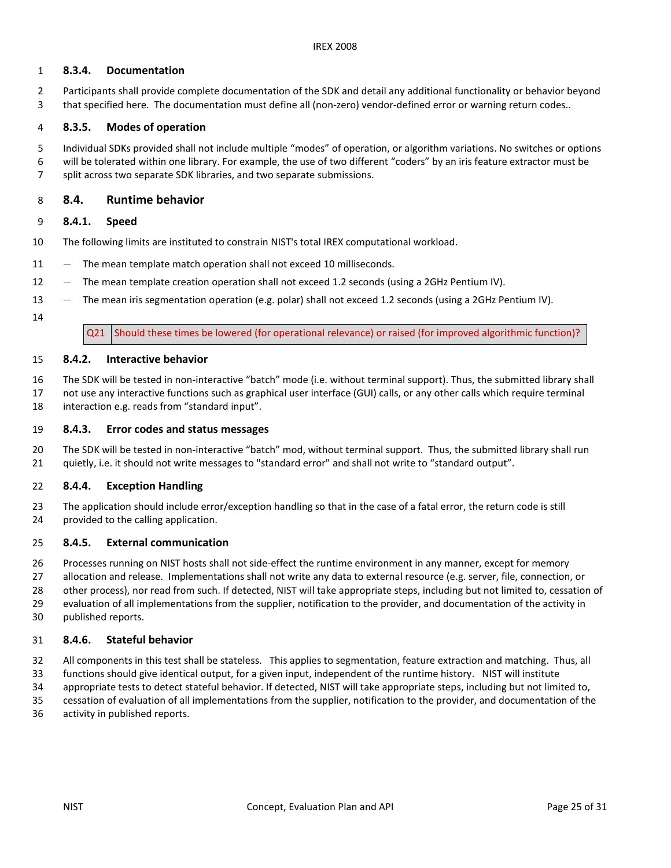#### 1 8.3.4. Documentation

 2 Participants shall provide complete documentation of the SDK and detail any additional functionality or behavior beyond 3 that specified here. The documentation must define all (non-zero) vendor-defined error or warning return codes..

#### 4 8.3.5. Modes of operation

 Individual SDKs provided shall not include multiple "modes" of operation, or algorithm variations. No switches or options 6 will be tolerated within one library. For example, the use of two different "coders" by an iris feature extractor must be 7 split across two separate SDK libraries, and two separate submissions. 5

#### 8 8.4. Runtime behavior

#### 9 8.4.1. Speed

- The following limits are instituted to constrain NIST's total IREX computational workload. 10
- 11 The mean template match operation shall not exceed 10 milliseconds.
- 12 The mean template creation operation shall not exceed 1.2 seconds (using a 2GHz Pentium IV).
- 13 The mean iris segmentation operation (e.g. polar) shall not exceed 1.2 seconds (using a 2GHz Pentium IV).
- 14

Q21 Should these times be lowered (for operational relevance) or raised (for improved algorithmic function)?

#### 8.4.2. Interactive behavior 15

- 16 The SDK will be tested in non-interactive "batch" mode (i.e. without terminal support). Thus, the submitted library shall
- 17 not use any interactive functions such as graphical user interface (GUI) calls, or any other calls which require terminal 18 interaction e.g. reads from "standard input".

#### 19 8.4.3. Error codes and status messages

 The SDK will be tested in non-interactive "batch" mod, without terminal support. Thus, the submitted library shall run 21 quietly, i.e. it should not write messages to "standard error" and shall not write to "standard output". 20

#### 22 8.4.4. Exception Handling

 23 The application should include error/exception handling so that in the case of a fatal error, the return code is still 24 provided to the calling application.

#### 25 8.4.5. External communication

 26 Processes running on NIST hosts shall not side-effect the runtime environment in any manner, except for memory 27 allocation and release. Implementations shall not write any data to external resource (e.g. server, file, connection, or 28 other process), nor read from such. If detected, NIST will take appropriate steps, including but not limited to, cessation of 29 evaluation of all implementations from the supplier, notification to the provider, and documentation of the activity in published reports. 30

#### 31 8.4.6. Stateful behavior

32 All components in this test shall be stateless. This applies to segmentation, feature extraction and matching. Thus, all

 33 functions should give identical output, for a given input, independent of the runtime history. NIST will institute 34 appropriate tests to detect stateful behavior. If detected, NIST will take appropriate steps, including but not limited to,

- cessation of evaluation of all implementations from the supplier, notification to the provider, and documentation of the 35
- 36 activity in published reports.